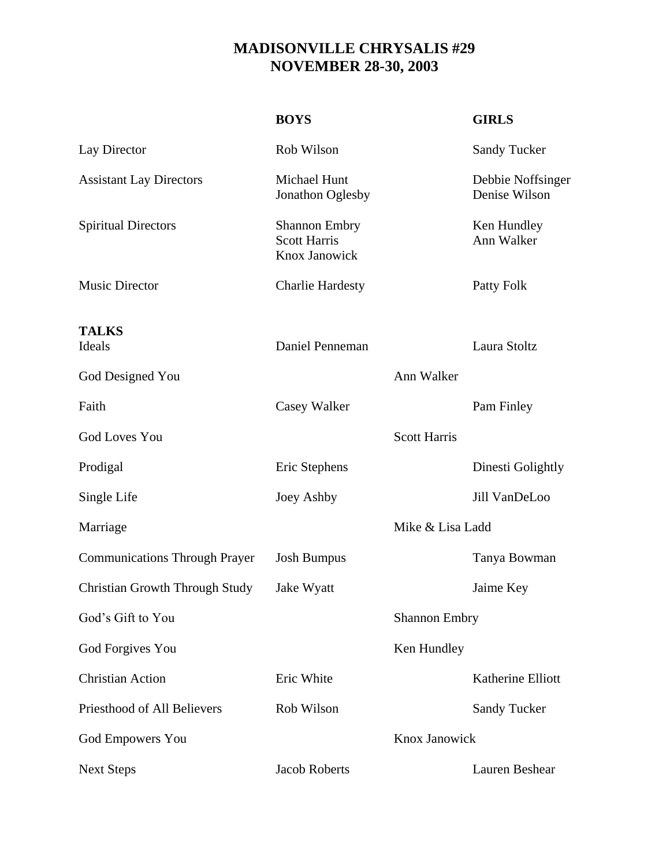## **MADISONVILLE CHRYSALIS #29 NOVEMBER 28-30, 2003**

|                                       | <b>BOYS</b>                                                  |                     | <b>GIRLS</b>                       |
|---------------------------------------|--------------------------------------------------------------|---------------------|------------------------------------|
| Lay Director                          | Rob Wilson                                                   |                     | <b>Sandy Tucker</b>                |
| <b>Assistant Lay Directors</b>        | Michael Hunt<br>Jonathon Oglesby                             |                     | Debbie Noffsinger<br>Denise Wilson |
| <b>Spiritual Directors</b>            | <b>Shannon Embry</b><br><b>Scott Harris</b><br>Knox Janowick |                     | Ken Hundley<br>Ann Walker          |
| <b>Music Director</b>                 | <b>Charlie Hardesty</b>                                      |                     | Patty Folk                         |
| <b>TALKS</b><br>Ideals                | Daniel Penneman                                              |                     | Laura Stoltz                       |
| God Designed You                      |                                                              | Ann Walker          |                                    |
| Faith                                 | Casey Walker                                                 |                     | Pam Finley                         |
| <b>God Loves You</b>                  |                                                              | <b>Scott Harris</b> |                                    |
| Prodigal                              | Eric Stephens                                                |                     | Dinesti Golightly                  |
| Single Life                           | Joey Ashby                                                   |                     | Jill VanDeLoo                      |
| Marriage                              |                                                              | Mike & Lisa Ladd    |                                    |
| <b>Communications Through Prayer</b>  | <b>Josh Bumpus</b>                                           |                     | Tanya Bowman                       |
| <b>Christian Growth Through Study</b> | Jake Wyatt                                                   |                     | Jaime Key                          |
| God's Gift to You                     | <b>Shannon Embry</b>                                         |                     |                                    |
| God Forgives You                      |                                                              | Ken Hundley         |                                    |
| <b>Christian Action</b>               | Eric White                                                   |                     | Katherine Elliott                  |
| Priesthood of All Believers           | Rob Wilson                                                   |                     | <b>Sandy Tucker</b>                |
| <b>God Empowers You</b>               |                                                              | Knox Janowick       |                                    |
| <b>Next Steps</b>                     | <b>Jacob Roberts</b>                                         |                     | Lauren Beshear                     |